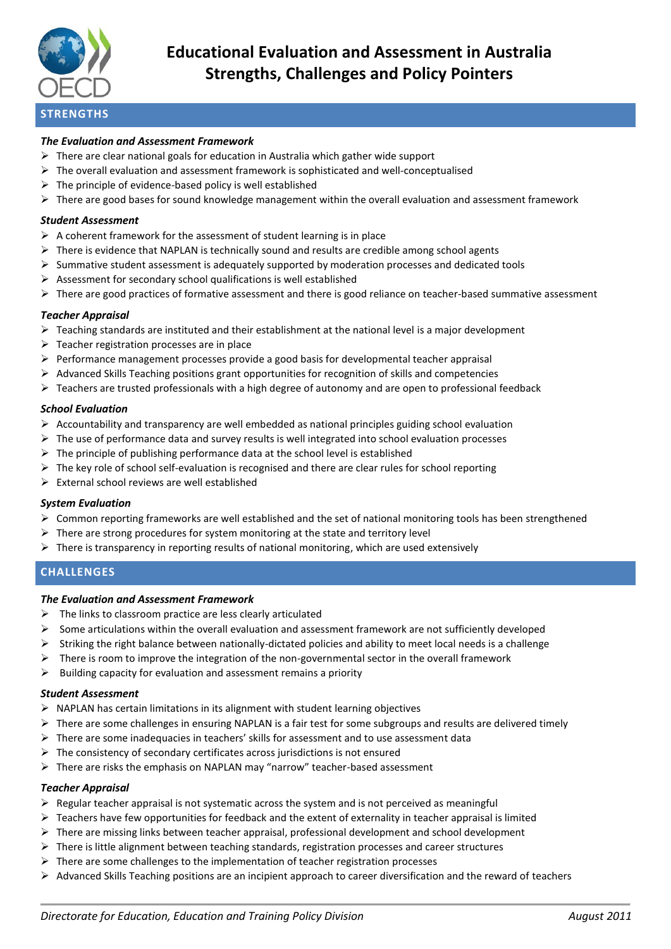

# **Educational Evaluation and Assessment in Australia Strengths, Challenges and Policy Pointers**

# *The Evaluation and Assessment Framework*

- $\triangleright$  There are clear national goals for education in Australia which gather wide support
- $\triangleright$  The overall evaluation and assessment framework is sophisticated and well-conceptualised
- $\triangleright$  The principle of evidence-based policy is well established
- $\triangleright$  There are good bases for sound knowledge management within the overall evaluation and assessment framework

### *Student Assessment*

- $\triangleright$  A coherent framework for the assessment of student learning is in place
- $\triangleright$  There is evidence that NAPLAN is technically sound and results are credible among school agents
- $\triangleright$  Summative student assessment is adequately supported by moderation processes and dedicated tools
- $\triangleright$  Assessment for secondary school qualifications is well established
- $\triangleright$  There are good practices of formative assessment and there is good reliance on teacher-based summative assessment

### *Teacher Appraisal*

- $\triangleright$  Teaching standards are instituted and their establishment at the national level is a major development
- $\triangleright$  Teacher registration processes are in place
- $\triangleright$  Performance management processes provide a good basis for developmental teacher appraisal
- $\triangleright$  Advanced Skills Teaching positions grant opportunities for recognition of skills and competencies
- $\triangleright$  Teachers are trusted professionals with a high degree of autonomy and are open to professional feedback

### *School Evaluation*

- $\triangleright$  Accountability and transparency are well embedded as national principles guiding school evaluation
- $\triangleright$  The use of performance data and survey results is well integrated into school evaluation processes
- $\triangleright$  The principle of publishing performance data at the school level is established
- $\triangleright$  The key role of school self-evaluation is recognised and there are clear rules for school reporting
- $\triangleright$  External school reviews are well established

#### *System Evaluation*

- $\triangleright$  Common reporting frameworks are well established and the set of national monitoring tools has been strengthened
- $\triangleright$  There are strong procedures for system monitoring at the state and territory level
- $\triangleright$  There is transparency in reporting results of national monitoring, which are used extensively

# **CHALLENGES**

# *The Evaluation and Assessment Framework*

- $\triangleright$  The links to classroom practice are less clearly articulated
- $\triangleright$  Some articulations within the overall evaluation and assessment framework are not sufficiently developed
- $\triangleright$  Striking the right balance between nationally-dictated policies and ability to meet local needs is a challenge
- There is room to improve the integration of the non-governmental sector in the overall framework
- $\triangleright$  Building capacity for evaluation and assessment remains a priority

#### *Student Assessment*

- $\triangleright$  NAPLAN has certain limitations in its alignment with student learning objectives
- $\triangleright$  There are some challenges in ensuring NAPLAN is a fair test for some subgroups and results are delivered timely
- There are some inadequacies in teachers' skills for assessment and to use assessment data
- $\triangleright$  The consistency of secondary certificates across jurisdictions is not ensured
- $\triangleright$  There are risks the emphasis on NAPLAN may "narrow" teacher-based assessment

# *Teacher Appraisal*

- $\triangleright$  Regular teacher appraisal is not systematic across the system and is not perceived as meaningful
- $\triangleright$  Teachers have few opportunities for feedback and the extent of externality in teacher appraisal is limited
- $\triangleright$  There are missing links between teacher appraisal, professional development and school development
- $\triangleright$  There is little alignment between teaching standards, registration processes and career structures
- $\triangleright$  There are some challenges to the implementation of teacher registration processes
- $\triangleright$  Advanced Skills Teaching positions are an incipient approach to career diversification and the reward of teachers